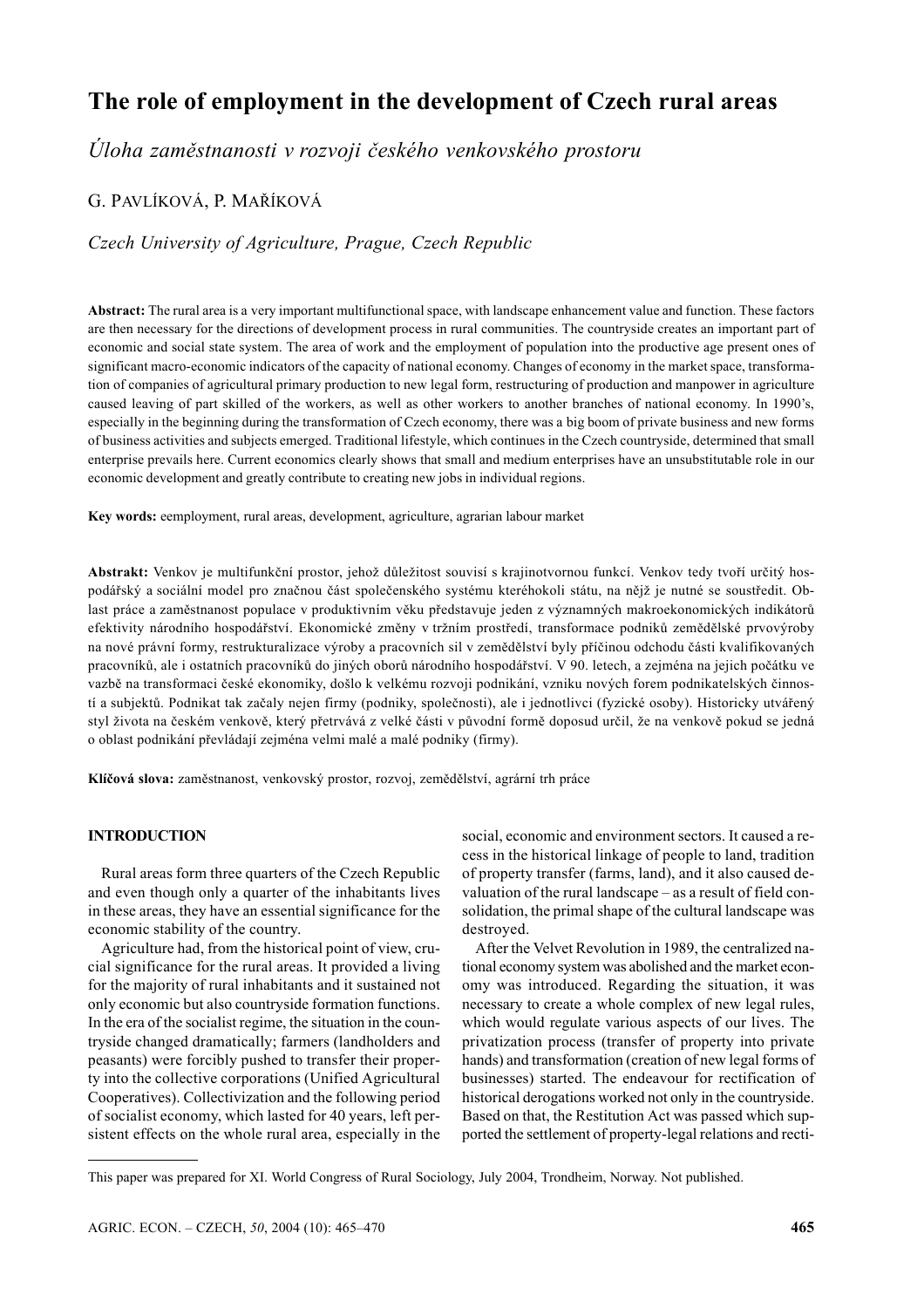# **The role of employment in the development of Czech rural areas**

*Úloha zaměstnanosti v rozvoji českého venkovského prostoru*

# G. PAVLÍKOVÁ, P. MAŘÍKOVÁ

# *Czech University of Agriculture, Prague, Czech Republic*

**Abstract:** The rural area is a very important multifunctional space, with landscape enhancement value and function. These factors are then necessary for the directions of development process in rural communities. The countryside creates an important part of economic and social state system. The area of work and the employment of population into the productive age present ones of significant macro-economic indicators of the capacity of national economy. Changes of economy in the market space, transformation of companies of agricultural primary production to new legal form, restructuring of production and manpower in agriculture caused leaving of part skilled of the workers, as well as other workers to another branches of national economy. In 1990's, especially in the beginning during the transformation of Czech economy, there was a big boom of private business and new forms of business activities and subjects emerged. Traditional lifestyle, which continues in the Czech countryside, determined that small enterprise prevails here. Current economics clearly shows that small and medium enterprises have an unsubstitutable role in our economic development and greatly contribute to creating new jobs in individual regions.

**Key words:** eemployment, rural areas, development, agriculture, agrarian labour market

**Abstrakt:** Venkov je multifunkční prostor, jehož důležitost souvisí s krajinotvornou funkcí. Venkov tedy tvoří určitý hospodářský a sociální model pro značnou část společenského systému kteréhokoli státu, na nějž je nutné se soustředit. Oblast práce a zaměstnanost populace v produktivním věku představuje jeden z významných makroekonomických indikátorů efektivity národního hospodářství. Ekonomické změny v tržním prostředí, transformace podniků zemědělské prvovýroby na nové právní formy, restrukturalizace výroby a pracovních sil v zemědělství byly příčinou odchodu části kvalifikovaných pracovníků, ale i ostatních pracovníků do jiných oborů národního hospodářství. V 90. letech, a zejména na jejich počátku ve vazbě na transformaci české ekonomiky, došlo k velkému rozvoji podnikání, vzniku nových forem podnikatelských činností a subjektů. Podnikat tak začaly nejen firmy (podniky, společnosti), ale i jednotlivci (fyzické osoby). Historicky utvářený styl života na českém venkově, který přetrvává z velké části v původní formě doposud určil, že na venkově pokud se jedná o oblast podnikání převládají zejména velmi malé a malé podniky (firmy).

**Klíčová slova:** zaměstnanost, venkovský prostor, rozvoj, zemědělství, agrární trh práce

# **INTRODUCTION**

Rural areas form three quarters of the Czech Republic and even though only a quarter of the inhabitants lives in these areas, they have an essential significance for the economic stability of the country.

Agriculture had, from the historical point of view, crucial significance for the rural areas. It provided a living for the majority of rural inhabitants and it sustained not only economic but also countryside formation functions. In the era of the socialist regime, the situation in the countryside changed dramatically; farmers (landholders and peasants) were forcibly pushed to transfer their property into the collective corporations (Unified Agricultural Cooperatives). Collectivization and the following period of socialist economy, which lasted for 40 years, left persistent effects on the whole rural area, especially in the social, economic and environment sectors. It caused a recess in the historical linkage of people to land, tradition of property transfer (farms, land), and it also caused devaluation of the rural landscape – as a result of field consolidation, the primal shape of the cultural landscape was destroyed.

After the Velvet Revolution in 1989, the centralized national economy system was abolished and the market economy was introduced. Regarding the situation, it was necessary to create a whole complex of new legal rules, which would regulate various aspects of our lives. The privatization process (transfer of property into private hands) and transformation (creation of new legal forms of businesses) started. The endeavour for rectification of historical derogations worked not only in the countryside. Based on that, the Restitution Act was passed which supported the settlement of property-legal relations and recti-

This paper was prepared for XI. World Congress of Rural Sociology, July 2004, Trondheim, Norway. Not published.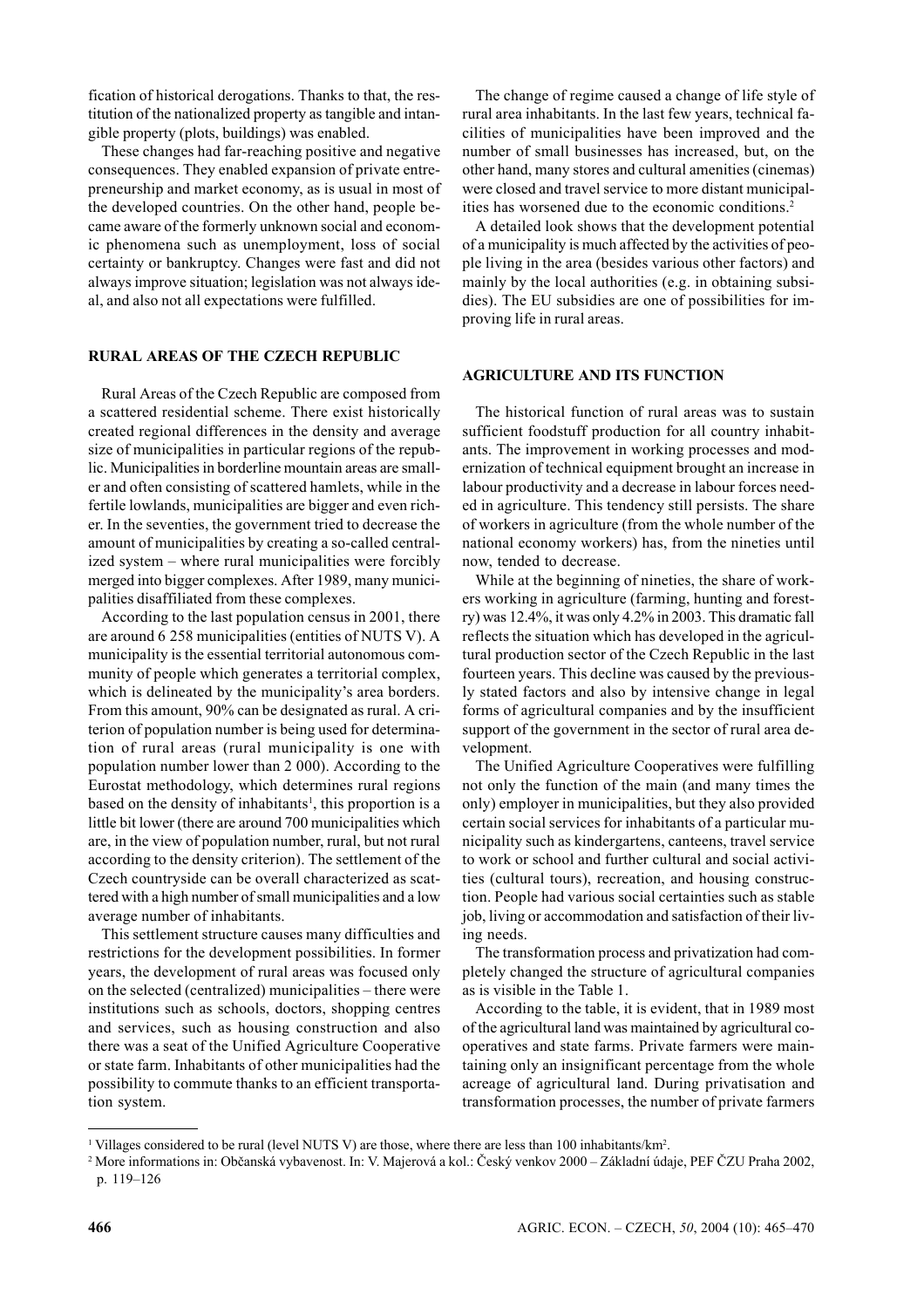fication of historical derogations. Thanks to that, the restitution of the nationalized property as tangible and intangible property (plots, buildings) was enabled.

These changes had far-reaching positive and negative consequences. They enabled expansion of private entrepreneurship and market economy, as is usual in most of the developed countries. On the other hand, people became aware of the formerly unknown social and economic phenomena such as unemployment, loss of social certainty or bankruptcy. Changes were fast and did not always improve situation; legislation was not always ideal, and also not all expectations were fulfilled.

### **RURAL AREAS OF THE CZECH REPUBLIC**

Rural Areas of the Czech Republic are composed from a scattered residential scheme. There exist historically created regional differences in the density and average size of municipalities in particular regions of the republic. Municipalities in borderline mountain areas are smaller and often consisting of scattered hamlets, while in the fertile lowlands, municipalities are bigger and even richer. In the seventies, the government tried to decrease the amount of municipalities by creating a so-called centralized system – where rural municipalities were forcibly merged into bigger complexes. After 1989, many municipalities disaffiliated from these complexes.

According to the last population census in 2001, there are around 6 258 municipalities (entities of NUTS V). A municipality is the essential territorial autonomous community of people which generates a territorial complex, which is delineated by the municipality's area borders. From this amount, 90% can be designated as rural. A criterion of population number is being used for determination of rural areas (rural municipality is one with population number lower than 2 000). According to the Eurostat methodology, which determines rural regions based on the density of inhabitants<sup>1</sup>, this proportion is a little bit lower (there are around 700 municipalities which are, in the view of population number, rural, but not rural according to the density criterion). The settlement of the Czech countryside can be overall characterized as scattered with a high number of small municipalities and a low average number of inhabitants.

This settlement structure causes many difficulties and restrictions for the development possibilities. In former years, the development of rural areas was focused only on the selected (centralized) municipalities – there were institutions such as schools, doctors, shopping centres and services, such as housing construction and also there was a seat of the Unified Agriculture Cooperative or state farm. Inhabitants of other municipalities had the possibility to commute thanks to an efficient transportation system.

The change of regime caused a change of life style of rural area inhabitants. In the last few years, technical facilities of municipalities have been improved and the number of small businesses has increased, but, on the other hand, many stores and cultural amenities (cinemas) were closed and travel service to more distant municipalities has worsened due to the economic conditions.2

A detailed look shows that the development potential of a municipality is much affected by the activities of people living in the area (besides various other factors) and mainly by the local authorities (e.g. in obtaining subsidies). The EU subsidies are one of possibilities for improving life in rural areas.

#### **AGRICULTURE AND ITS FUNCTION**

The historical function of rural areas was to sustain sufficient foodstuff production for all country inhabitants. The improvement in working processes and modernization of technical equipment brought an increase in labour productivity and a decrease in labour forces needed in agriculture. This tendency still persists. The share of workers in agriculture (from the whole number of the national economy workers) has, from the nineties until now, tended to decrease.

While at the beginning of nineties, the share of workers working in agriculture (farming, hunting and forestry) was 12.4%, it was only 4.2% in 2003. This dramatic fall reflects the situation which has developed in the agricultural production sector of the Czech Republic in the last fourteen years. This decline was caused by the previously stated factors and also by intensive change in legal forms of agricultural companies and by the insufficient support of the government in the sector of rural area development.

The Unified Agriculture Cooperatives were fulfilling not only the function of the main (and many times the only) employer in municipalities, but they also provided certain social services for inhabitants of a particular municipality such as kindergartens, canteens, travel service to work or school and further cultural and social activities (cultural tours), recreation, and housing construction. People had various social certainties such as stable job, living or accommodation and satisfaction of their living needs.

The transformation process and privatization had completely changed the structure of agricultural companies as is visible in the Table 1.

According to the table, it is evident, that in 1989 most of the agricultural land was maintained by agricultural cooperatives and state farms. Private farmers were maintaining only an insignificant percentage from the whole acreage of agricultural land. During privatisation and transformation processes, the number of private farmers

<sup>&</sup>lt;sup>1</sup> Villages considered to be rural (level NUTS V) are those, where there are less than 100 inhabitants/km<sup>2</sup>.

<sup>2</sup> More informations in: Občanská vybavenost. In: V. Majerová a kol.: Český venkov 2000 – Základní údaje, PEF ČZU Praha 2002, p. 119–126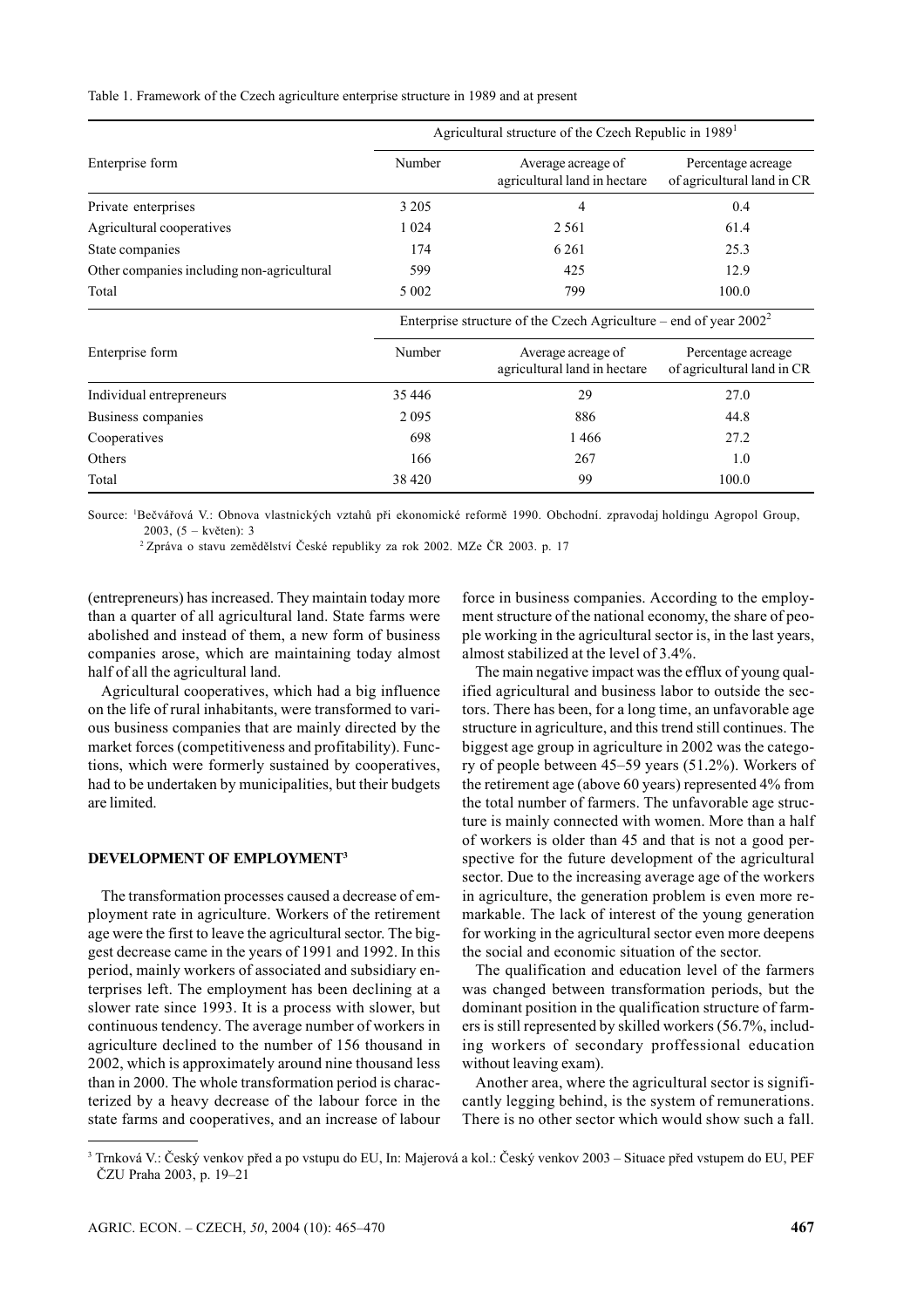#### Table 1. Framework of the Czech agriculture enterprise structure in 1989 and at present

|                                            | Agricultural structure of the Czech Republic in 1989 <sup>1</sup>   |                                                    |                                                  |  |  |
|--------------------------------------------|---------------------------------------------------------------------|----------------------------------------------------|--------------------------------------------------|--|--|
| Enterprise form                            | Number                                                              | Average acreage of<br>agricultural land in hectare | Percentage acreage<br>of agricultural land in CR |  |  |
| Private enterprises                        | 3 2 0 5                                                             | 4                                                  | 0.4                                              |  |  |
| Agricultural cooperatives                  | 1 0 2 4                                                             | 2 5 6 1                                            | 61.4                                             |  |  |
| State companies                            | 174                                                                 | 6 2 6 1                                            | 25.3                                             |  |  |
| Other companies including non-agricultural | 599                                                                 | 425                                                | 12.9                                             |  |  |
| Total                                      | 5 0 0 2                                                             | 799                                                | 100.0                                            |  |  |
|                                            | Enterprise structure of the Czech Agriculture – end of year $20022$ |                                                    |                                                  |  |  |
| Enterprise form                            | Number                                                              | Average acreage of<br>agricultural land in hectare | Percentage acreage<br>of agricultural land in CR |  |  |
| Individual entrepreneurs                   | 35446                                                               | 29                                                 | 27.0                                             |  |  |
| Business companies                         | 2095                                                                | 886                                                | 44.8                                             |  |  |
| Cooperatives                               | 698                                                                 | 1466                                               | 27.2                                             |  |  |
| Others                                     | 166                                                                 | 267                                                | 1.0                                              |  |  |
| Total                                      | 38 4 20                                                             | 99                                                 | 100.0                                            |  |  |

Source: 1 Bečvářová V.: Obnova vlastnických vztahů při ekonomické reformě 1990. Obchodní. zpravodaj holdingu Agropol Group, 2003,  $(5 - kv$ ěten): 3<br><sup>2</sup> Zpráva o stavu zemědělství České republiky za rok 2002. MZe ČR 2003. p. 17

(entrepreneurs) has increased. They maintain today more than a quarter of all agricultural land. State farms were abolished and instead of them, a new form of business companies arose, which are maintaining today almost half of all the agricultural land.

Agricultural cooperatives, which had a big influence on the life of rural inhabitants, were transformed to various business companies that are mainly directed by the market forces (competitiveness and profitability). Functions, which were formerly sustained by cooperatives, had to be undertaken by municipalities, but their budgets are limited.

#### **DEVELOPMENT OF EMPLOYMENT3**

The transformation processes caused a decrease of employment rate in agriculture. Workers of the retirement age were the first to leave the agricultural sector. The biggest decrease came in the years of 1991 and 1992. In this period, mainly workers of associated and subsidiary enterprises left. The employment has been declining at a slower rate since 1993. It is a process with slower, but continuous tendency. The average number of workers in agriculture declined to the number of 156 thousand in 2002, which is approximately around nine thousand less than in 2000. The whole transformation period is characterized by a heavy decrease of the labour force in the state farms and cooperatives, and an increase of labour force in business companies. According to the employment structure of the national economy, the share of people working in the agricultural sector is, in the last years, almost stabilized at the level of 3.4%.

The main negative impact was the efflux of young qualified agricultural and business labor to outside the sectors. There has been, for a long time, an unfavorable age structure in agriculture, and this trend still continues. The biggest age group in agriculture in 2002 was the category of people between 45–59 years (51.2%). Workers of the retirement age (above 60 years) represented 4% from the total number of farmers. The unfavorable age structure is mainly connected with women. More than a half of workers is older than 45 and that is not a good perspective for the future development of the agricultural sector. Due to the increasing average age of the workers in agriculture, the generation problem is even more remarkable. The lack of interest of the young generation for working in the agricultural sector even more deepens the social and economic situation of the sector.

The qualification and education level of the farmers was changed between transformation periods, but the dominant position in the qualification structure of farmers is still represented by skilled workers (56.7%, including workers of secondary proffessional education without leaving exam).

Another area, where the agricultural sector is significantly legging behind, is the system of remunerations. There is no other sector which would show such a fall.

<sup>3</sup> Trnková V.: Český venkov před a po vstupu do EU, In: Majerová a kol.: Český venkov 2003 – Situace před vstupem do EU, PEF ČZU Praha 2003, p. 19–21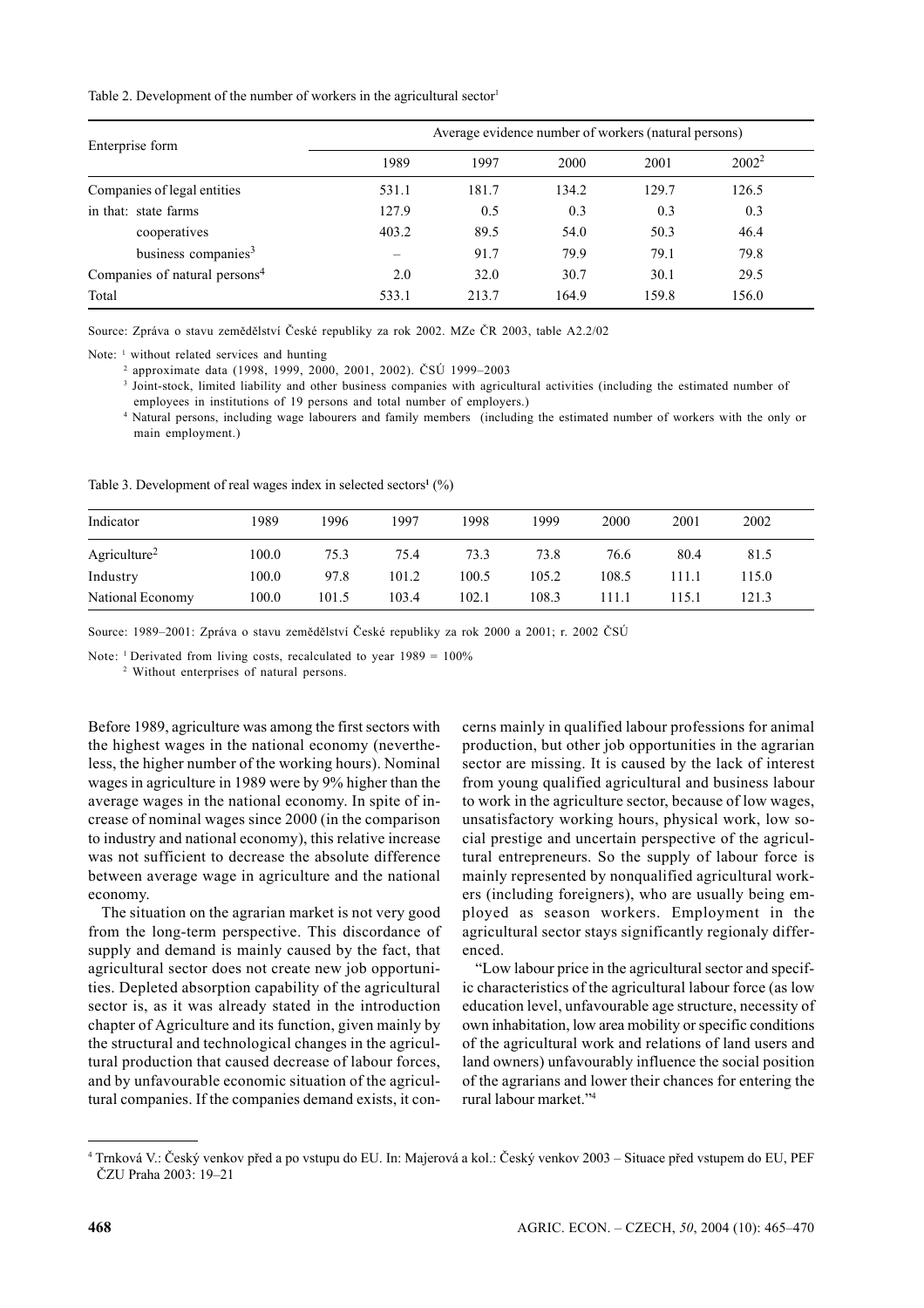#### Table 2. Development of the number of workers in the agricultural sector<sup>1</sup>

| Enterprise form                           | Average evidence number of workers (natural persons) |       |       |       |          |  |
|-------------------------------------------|------------------------------------------------------|-------|-------|-------|----------|--|
|                                           | 1989                                                 | 1997  | 2000  | 2001  | $2002^2$ |  |
| Companies of legal entities               | 531.1                                                | 181.7 | 134.2 | 129.7 | 126.5    |  |
| in that: state farms                      | 127.9                                                | 0.5   | 0.3   | 0.3   | 0.3      |  |
| cooperatives                              | 403.2                                                | 89.5  | 54.0  | 50.3  | 46.4     |  |
| business companies <sup>3</sup>           |                                                      | 91.7  | 79.9  | 79.1  | 79.8     |  |
| Companies of natural persons <sup>4</sup> | 2.0                                                  | 32.0  | 30.7  | 30.1  | 29.5     |  |
| Total                                     | 533.1                                                | 213.7 | 164.9 | 159.8 | 156.0    |  |

Source: Zpráva o stavu zemědělství České republiky za rok 2002. MZe ČR 2003, table A2.2/02

Note: <sup>1</sup> without related services and hunting

- 2 approximate data (1998, 1999, 2000, 2001, 2002). ČSÚ 1999–2003
- 3 Joint-stock, limited liability and other business companies with agricultural activities (including the estimated number of employees in institutions of 19 persons and total number of employers.)
- 4 Natural persons, including wage labourers and family members (including the estimated number of workers with the only or main employment.)

Table 3. Development of real wages index in selected sectors<sup>1</sup> (%)

| Indicator                | 1989  | 1996  | 1997  | 1998  | 1999  | 2000  | 2001  | 2002  |  |
|--------------------------|-------|-------|-------|-------|-------|-------|-------|-------|--|
| Agriculture <sup>2</sup> | 100.0 | 75.3  | 75.4  | 73.3  | 73.8  | 76.6  | 80.4  | 81.5  |  |
| Industry                 | 100.0 | 97.8  | 101.2 | 100.5 | 105.2 | 108.5 | 111.1 | 115.0 |  |
| National Economy         | 100.0 | 101.5 | 103.4 | 102.1 | 108.3 | 111.1 | 115.1 | 121.3 |  |

Source: 1989–2001: Zpráva o stavu zemědělství České republiky za rok 2000 a 2001; r. 2002 ČSÚ

Note: <sup>1</sup> Derivated from living costs, recalculated to year 1989 = 100%

2 Without enterprises of natural persons.

Before 1989, agriculture was among the first sectors with the highest wages in the national economy (nevertheless, the higher number of the working hours). Nominal wages in agriculture in 1989 were by 9% higher than the average wages in the national economy. In spite of increase of nominal wages since 2000 (in the comparison to industry and national economy), this relative increase was not sufficient to decrease the absolute difference between average wage in agriculture and the national economy.

The situation on the agrarian market is not very good from the long-term perspective. This discordance of supply and demand is mainly caused by the fact, that agricultural sector does not create new job opportunities. Depleted absorption capability of the agricultural sector is, as it was already stated in the introduction chapter of Agriculture and its function, given mainly by the structural and technological changes in the agricultural production that caused decrease of labour forces, and by unfavourable economic situation of the agricultural companies. If the companies demand exists, it concerns mainly in qualified labour professions for animal production, but other job opportunities in the agrarian sector are missing. It is caused by the lack of interest from young qualified agricultural and business labour to work in the agriculture sector, because of low wages, unsatisfactory working hours, physical work, low social prestige and uncertain perspective of the agricultural entrepreneurs. So the supply of labour force is mainly represented by nonqualified agricultural workers (including foreigners), who are usually being employed as season workers. Employment in the agricultural sector stays significantly regionaly differenced.

"Low labour price in the agricultural sector and specific characteristics of the agricultural labour force (as low education level, unfavourable age structure, necessity of own inhabitation, low area mobility or specific conditions of the agricultural work and relations of land users and land owners) unfavourably influence the social position of the agrarians and lower their chances for entering the rural labour market."4

<sup>4</sup> Trnková V.: Český venkov před a po vstupu do EU. In: Majerová a kol.: Český venkov 2003 – Situace před vstupem do EU, PEF ČZU Praha 2003: 19–21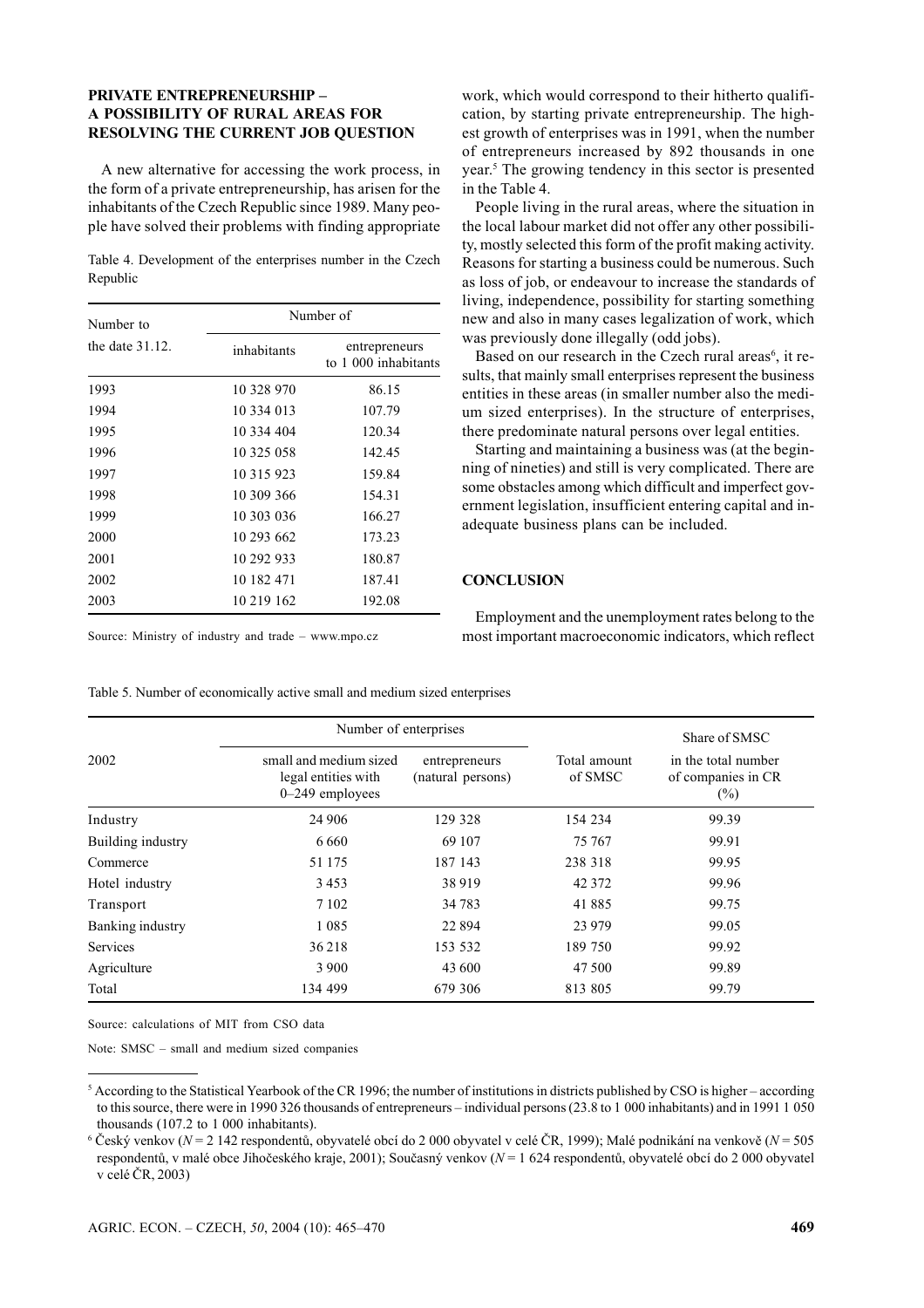# **PRIVATE ENTREPRENEURSHIP – A POSSIBILITY OF RURAL AREAS FOR RESOLVING THE CURRENT JOB QUESTION**

A new alternative for accessing the work process, in the form of a private entrepreneurship, has arisen for the inhabitants of the Czech Republic since 1989. Many people have solved their problems with finding appropriate

Table 4. Development of the enterprises number in the Czech Republic

| Number to<br>the date $31.12$ . | Number of   |                                       |  |  |
|---------------------------------|-------------|---------------------------------------|--|--|
|                                 | inhabitants | entrepreneurs<br>to 1 000 inhabitants |  |  |
| 1993                            | 10 328 970  | 86.15                                 |  |  |
| 1994                            | 10 334 013  | 107.79                                |  |  |
| 1995                            | 10 334 404  | 120.34                                |  |  |
| 1996                            | 10 325 058  | 142.45                                |  |  |
| 1997                            | 10 315 923  | 159.84                                |  |  |
| 1998                            | 10 309 366  | 154.31                                |  |  |
| 1999                            | 10 303 036  | 166.27                                |  |  |
| 2000                            | 10 293 662  | 173.23                                |  |  |
| 2001                            | 10 292 933  | 180.87                                |  |  |
| 2002                            | 10 182 471  | 187.41                                |  |  |
| 2003                            | 10 219 162  | 192.08                                |  |  |

work, which would correspond to their hitherto qualification, by starting private entrepreneurship. The highest growth of enterprises was in 1991, when the number of entrepreneurs increased by 892 thousands in one year.<sup>5</sup> The growing tendency in this sector is presented in the Table 4.

People living in the rural areas, where the situation in the local labour market did not offer any other possibility, mostly selected this form of the profit making activity. Reasons for starting a business could be numerous. Such as loss of job, or endeavour to increase the standards of living, independence, possibility for starting something new and also in many cases legalization of work, which was previously done illegally (odd jobs).

Based on our research in the Czech rural areas<sup>6</sup>, it results, that mainly small enterprises represent the business entities in these areas (in smaller number also the medium sized enterprises). In the structure of enterprises, there predominate natural persons over legal entities.

Starting and maintaining a business was (at the beginning of nineties) and still is very complicated. There are some obstacles among which difficult and imperfect government legislation, insufficient entering capital and inadequate business plans can be included.

# **CONCLUSION**

Source: Ministry of industry and trade – www.mpo.cz

Employment and the unemployment rates belong to the most important macroeconomic indicators, which reflect

|                   | Number of enterprises                                            |                                                               |         | Share of SMSC                                       |  |
|-------------------|------------------------------------------------------------------|---------------------------------------------------------------|---------|-----------------------------------------------------|--|
| 2002              | small and medium sized<br>legal entities with<br>0-249 employees | Total amount<br>entrepreneurs<br>of SMSC<br>(natural persons) |         | in the total number<br>of companies in CR<br>$(\%)$ |  |
| Industry          | 24 906                                                           | 129 328                                                       | 154 234 | 99.39                                               |  |
| Building industry | 6 6 6 0                                                          | 69 107                                                        | 75 767  | 99.91                                               |  |
| Commerce          | 51 1 7 5                                                         | 187 143                                                       | 238 318 | 99.95                                               |  |
| Hotel industry    | 3453                                                             | 38 919                                                        | 42 3 72 | 99.96                                               |  |
| Transport         | 7 1 0 2                                                          | 34 783                                                        | 41885   | 99.75                                               |  |
| Banking industry  | 1 0 8 5                                                          | 22 8 94                                                       | 23 9 79 | 99.05                                               |  |
| Services          | 36218                                                            | 153 532                                                       | 189 750 | 99.92                                               |  |
| Agriculture       | 3 9 0 0                                                          | 43 600                                                        | 47 500  | 99.89                                               |  |
| Total             | 134 499                                                          | 679 306                                                       | 813 805 | 99.79                                               |  |

Table 5. Number of economically active small and medium sized enterprises

Source: calculations of MIT from CSO data

Note: SMSC – small and medium sized companies

 $<sup>5</sup>$  According to the Statistical Yearbook of the CR 1996; the number of institutions in districts published by CSO is higher – according</sup> to this source, there were in 1990 326 thousands of entrepreneurs – individual persons (23.8 to 1 000 inhabitants) and in 1991 1 050 thousands (107.2 to 1 000 inhabitants).

<sup>6</sup> Český venkov (*N* = 2 142 respondentů, obyvatelé obcí do 2 000 obyvatel v celé ČR, 1999); Malé podnikání na venkově (*N* = 505 respondentů, v malé obce Jihočeského kraje, 2001); Současný venkov (*N* = 1 624 respondentů, obyvatelé obcí do 2 000 obyvatel v celé ČR, 2003)